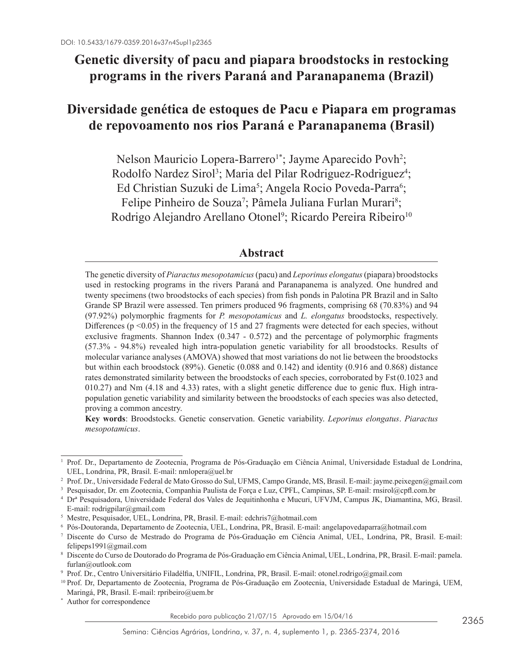# **Genetic diversity of pacu and piapara broodstocks in restocking programs in the rivers Paraná and Paranapanema (Brazil)**

# **Diversidade genética de estoques de Pacu e Piapara em programas de repovoamento nos rios Paraná e Paranapanema (Brasil)**

Nelson Mauricio Lopera-Barrero<sup>1</sup>\*; Jayme Aparecido Povh<sup>2</sup>; Rodolfo Nardez Sirol<sup>3</sup>; Maria del Pilar Rodriguez-Rodriguez<sup>4</sup>; Ed Christian Suzuki de Lima<sup>5</sup>; Angela Rocio Poveda-Parra<sup>6</sup>; Felipe Pinheiro de Souza<sup>7</sup>; Pâmela Juliana Furlan Murari<sup>8</sup>; Rodrigo Alejandro Arellano Otonel<sup>9</sup>; Ricardo Pereira Ribeiro<sup>10</sup>

## **Abstract**

The genetic diversity of *Piaractus mesopotamicus* (pacu) and *Leporinus elongatus* (piapara) broodstocks used in restocking programs in the rivers Paraná and Paranapanema is analyzed. One hundred and twenty specimens (two broodstocks of each species) from fish ponds in Palotina PR Brazil and in Salto Grande SP Brazil were assessed. Ten primers produced 96 fragments, comprising 68 (70.83%) and 94 (97.92%) polymorphic fragments for *P. mesopotamicus* and *L. elongatus* broodstocks, respectively. Differences ( $p \le 0.05$ ) in the frequency of 15 and 27 fragments were detected for each species, without exclusive fragments. Shannon Index (0.347 - 0.572) and the percentage of polymorphic fragments (57.3% - 94.8%) revealed high intra-population genetic variability for all broodstocks. Results of molecular variance analyses (AMOVA) showed that most variations do not lie between the broodstocks but within each broodstock (89%). Genetic (0.088 and 0.142) and identity (0.916 and 0.868) distance rates demonstrated similarity between the broodstocks of each species, corroborated by Fst(0.1023 and 010.27) and Nm (4.18 and 4.33) rates, with a slight genetic difference due to genic flux. High intrapopulation genetic variability and similarity between the broodstocks of each species was also detected, proving a common ancestry.

**Key words**: Broodstocks. Genetic conservation. Genetic variability. *Leporinus elongatus*. *Piaractus mesopotamicus*.

<sup>1</sup> Prof. Dr., Departamento de Zootecnia, Programa de Pós-Graduação em Ciência Animal, Universidade Estadual de Londrina, UEL, Londrina, PR, Brasil. E-mail: nmlopera@uel.br

<sup>2</sup> Prof. Dr., Universidade Federal de Mato Grosso do Sul, UFMS, Campo Grande, MS, Brasil. E-mail: jayme.peixegen@gmail.com

<sup>3</sup> Pesquisador, Dr. em Zootecnia, Companhia Paulista de Força e Luz, CPFL, Campinas, SP. E-mail: rnsirol@cpfl.com.br

<sup>4</sup> Drª Pesquisadora, Universidade Federal dos Vales de Jequitinhonha e Mucuri, UFVJM, Campus JK, Diamantina, MG, Brasil. E-mail: rodrigpilar@gmail.com

<sup>5</sup> Mestre, Pesquisador, UEL, Londrina, PR, Brasil. E-mail: edchris7@hotmail.com

<sup>6</sup> Pós-Doutoranda, Departamento de Zootecnia, UEL, Londrina, PR, Brasil. E-mail: angelapovedaparra@hotmail.com

<sup>7</sup> Discente do Curso de Mestrado do Programa de Pós-Graduação em Ciência Animal, UEL, Londrina, PR, Brasil. E-mail: felipeps1991@gmail.com

<sup>8</sup> Discente do Curso de Doutorado do Programa de Pós-Graduação em Ciência Animal, UEL, Londrina, PR, Brasil. E-mail: pamela. furlan@outlook.com

<sup>9</sup> Prof. Dr., Centro Universitário Filadélfia, UNIFIL, Londrina, PR, Brasil. E-mail: otonel.rodrigo@gmail.com

<sup>10</sup> Prof. Dr, Departamento de Zootecnia, Programa de Pós-Graduação em Zootecnia, Universidade Estadual de Maringá, UEM, Maringá, PR, Brasil. E-mail: rpribeiro@uem.br

<sup>\*</sup> Author for correspondence

Recebido para publicação 21/07/15 Aprovado em 15/04/16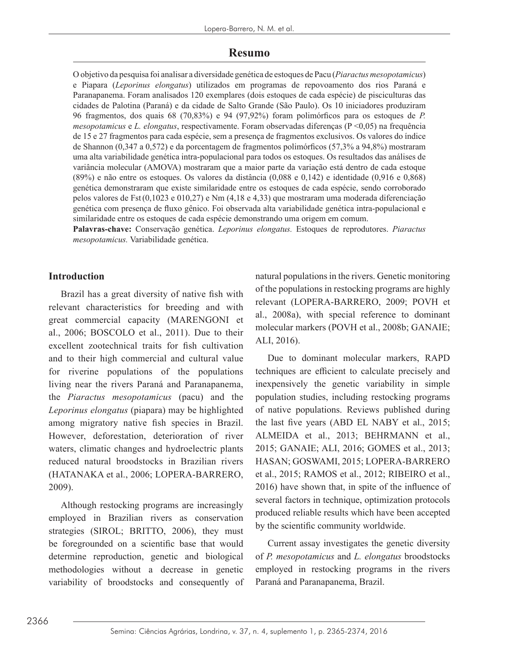#### **Resumo**

O objetivo da pesquisa foi analisar a diversidade genética de estoques de Pacu (*Piaractus mesopotamicus*) e Piapara (*Leporinus elongatus*) utilizados em programas de repovoamento dos rios Paraná e Paranapanema. Foram analisados 120 exemplares (dois estoques de cada espécie) de pisciculturas das cidades de Palotina (Paraná) e da cidade de Salto Grande (São Paulo). Os 10 iniciadores produziram 96 fragmentos, dos quais 68 (70,83%) e 94 (97,92%) foram polimórficos para os estoques de *P. mesopotamicus* e *L. elongatus*, respectivamente. Foram observadas diferenças (P <0,05) na frequência de 15 e 27 fragmentos para cada espécie, sem a presença de fragmentos exclusivos. Os valores do índice de Shannon (0,347 a 0,572) e da porcentagem de fragmentos polimórficos (57,3% a 94,8%) mostraram uma alta variabilidade genética intra-populacional para todos os estoques. Os resultados das análises de variância molecular (AMOVA) mostraram que a maior parte da variação está dentro de cada estoque (89%) e não entre os estoques. Os valores da distância (0,088 e 0,142) e identidade (0,916 e 0,868) genética demonstraram que existe similaridade entre os estoques de cada espécie, sendo corroborado pelos valores de Fst(0,1023 e 010,27) e Nm (4,18 e 4,33) que mostraram uma moderada diferenciação genética com presença de fluxo gênico. Foi observada alta variabilidade genética intra-populacional e similaridade entre os estoques de cada espécie demonstrando uma origem em comum.

**Palavras-chave:** Conservação genética. *Leporinus elongatus.* Estoques de reprodutores. *Piaractus mesopotamicus.* Variabilidade genética.

### **Introduction**

Brazil has a great diversity of native fish with relevant characteristics for breeding and with great commercial capacity (MARENGONI et al., 2006; BOSCOLO et al., 2011). Due to their excellent zootechnical traits for fish cultivation and to their high commercial and cultural value for riverine populations of the populations living near the rivers Paraná and Paranapanema, the *Piaractus mesopotamicus* (pacu) and the *Leporinus elongatus* (piapara) may be highlighted among migratory native fish species in Brazil. However, deforestation, deterioration of river waters, climatic changes and hydroelectric plants reduced natural broodstocks in Brazilian rivers (HATANAKA et al., 2006; LOPERA-BARRERO, 2009).

Although restocking programs are increasingly employed in Brazilian rivers as conservation strategies (SIROL; BRITTO, 2006), they must be foregrounded on a scientific base that would determine reproduction, genetic and biological methodologies without a decrease in genetic variability of broodstocks and consequently of natural populations in the rivers. Genetic monitoring of the populations in restocking programs are highly relevant (LOPERA-BARRERO, 2009; POVH et al., 2008a), with special reference to dominant molecular markers (POVH et al., 2008b; GANAIE; ALI, 2016).

Due to dominant molecular markers, RAPD techniques are efficient to calculate precisely and inexpensively the genetic variability in simple population studies, including restocking programs of native populations. Reviews published during the last five years (ABD EL NABY et al., 2015; ALMEIDA et al., 2013; BEHRMANN et al., 2015; GANAIE; ALI, 2016; GOMES et al., 2013; HASAN; GOSWAMI, 2015; LOPERA-BARRERO et al., 2015; RAMOS et al., 2012; RIBEIRO et al., 2016) have shown that, in spite of the influence of several factors in technique, optimization protocols produced reliable results which have been accepted by the scientific community worldwide.

Current assay investigates the genetic diversity of *P. mesopotamicus* and *L. elongatus* broodstocks employed in restocking programs in the rivers Paraná and Paranapanema, Brazil.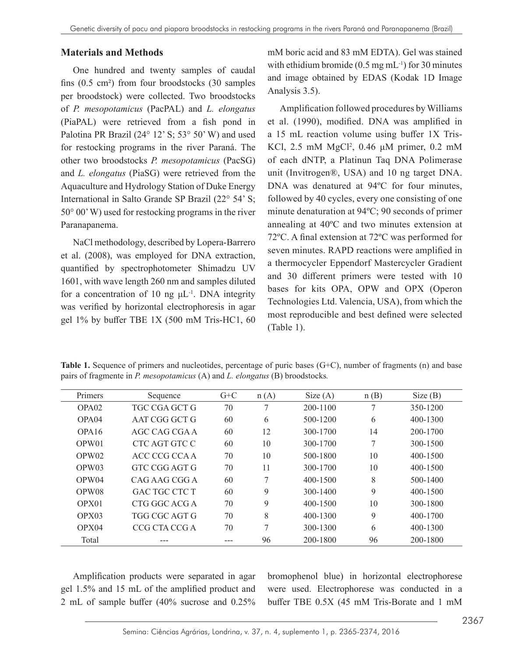#### **Materials and Methods**

One hundred and twenty samples of caudal fins (0.5 cm²) from four broodstocks (30 samples per broodstock) were collected. Two broodstocks of *P. mesopotamicus* (PacPAL) and *L. elongatus* (PiaPAL) were retrieved from a fish pond in Palotina PR Brazil (24° 12' S; 53° 50' W) and used for restocking programs in the river Paraná. The other two broodstocks *P. mesopotamicus* (PacSG) and *L. elongatus* (PiaSG) were retrieved from the Aquaculture and Hydrology Station of Duke Energy International in Salto Grande SP Brazil (22° 54' S; 50° 00' W) used for restocking programs in the river Paranapanema.

NaCl methodology, described by Lopera-Barrero et al. (2008), was employed for DNA extraction, quantified by spectrophotometer Shimadzu UV 1601, with wave length 260 nm and samples diluted for a concentration of 10 ng  $\mu L^{-1}$ . DNA integrity was verified by horizontal electrophoresis in agar gel 1% by buffer TBE 1X (500 mM Tris-HC1, 60 mM boric acid and 83 mM EDTA). Gel was stained with ethidium bromide  $(0.5 \text{ mg} \text{ mL}^{-1})$  for 30 minutes and image obtained by EDAS (Kodak 1D Image Analysis 3.5).

Amplification followed procedures by Williams et al. (1990), modified. DNA was amplified in a 15 mL reaction volume using buffer 1X Tris-KCl, 2.5 mM MgCl<sup>2</sup>, 0.46 μM primer, 0.2 mM of each dNTP, a Platinun Taq DNA Polimerase unit (Invitrogen®, USA) and 10 ng target DNA. DNA was denatured at 94ºC for four minutes, followed by 40 cycles, every one consisting of one minute denaturation at 94ºC; 90 seconds of primer annealing at 40ºC and two minutes extension at 72ºC. A final extension at 72ºC was performed for seven minutes. RAPD reactions were amplified in a thermocycler Eppendorf Mastercycler Gradient and 30 different primers were tested with 10 bases for kits OPA, OPW and OPX (Operon Technologies Ltd. Valencia, USA), from which the most reproducible and best defined were selected (Table 1).

| Primers           | Sequence       | $G+C$ | n(A) | Size(A)      | n(B) | Size(B)      |
|-------------------|----------------|-------|------|--------------|------|--------------|
| OPA02             | TGC CGA GCT G  | 70    | 7    | 200-1100     | 7    | 350-1200     |
| OPA04             | A AT CGG GCT G | 60    | 6    | 500-1200     | 6    | 400-1300     |
| OPA <sub>16</sub> | AGC CAG CGA A  | 60    | 12   | 300-1700     | 14   | 200-1700     |
| OPW01             | CTC AGT GTC C  | 60    | 10   | 300-1700     | 7    | 300-1500     |
| OPW <sub>02</sub> | ACC CCG CCA A  | 70    | 10   | 500-1800     | 10   | $400 - 1500$ |
| OPW <sub>03</sub> | GTC CGG AGT G  | 70    | 11   | 300-1700     | 10   | $400 - 1500$ |
| OPW04             | CAG AAG CGG A  | 60    | 7    | $400 - 1500$ | 8    | $500 - 1400$ |
| OPW08             | GAC TGC CTC T  | 60    | 9    | 300-1400     | 9    | $400 - 1500$ |
| OPX01             | CTG GGC ACG A  | 70    | 9    | $400 - 1500$ | 10   | 300-1800     |
| OPX03             | TGG CGC AGT G  | 70    | 8    | $400 - 1300$ | 9    | 400-1700     |
| OPX04             | CCG CTA CCG A  | 70    | 7    | 300-1300     | 6    | $400 - 1300$ |
| Total             |                |       | 96   | 200-1800     | 96   | 200-1800     |

**Table 1.** Sequence of primers and nucleotides, percentage of puric bases (G+C), number of fragments (n) and base pairs of fragmente in *P. mesopotamicus* (A) and *L. elongatus* (B) broodstocks*.*

Amplification products were separated in agar gel 1.5% and 15 mL of the amplified product and 2 mL of sample buffer (40% sucrose and 0.25% bromophenol blue) in horizontal electrophorese were used. Electrophorese was conducted in a buffer TBE 0.5X (45 mM Tris-Borate and 1 mM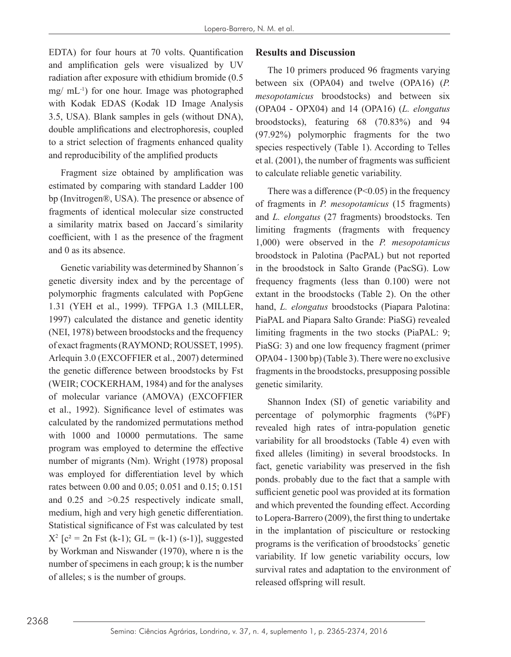EDTA) for four hours at 70 volts. Quantification and amplification gels were visualized by UV radiation after exposure with ethidium bromide (0.5 mg/ mL-1) for one hour. Image was photographed with Kodak EDAS (Kodak 1D Image Analysis 3.5, USA). Blank samples in gels (without DNA), double amplifications and electrophoresis, coupled to a strict selection of fragments enhanced quality and reproducibility of the amplified products

Fragment size obtained by amplification was estimated by comparing with standard Ladder 100 bp (Invitrogen®, USA). The presence or absence of fragments of identical molecular size constructed a similarity matrix based on Jaccard´s similarity coefficient, with 1 as the presence of the fragment and 0 as its absence.

Genetic variability was determined by Shannon´s genetic diversity index and by the percentage of polymorphic fragments calculated with PopGene 1.31 (YEH et al., 1999). TFPGA 1.3 (MILLER, 1997) calculated the distance and genetic identity (NEI, 1978) between broodstocks and the frequency of exact fragments (RAYMOND; ROUSSET, 1995). Arlequin 3.0 (EXCOFFIER et al., 2007) determined the genetic difference between broodstocks by Fst (WEIR; COCKERHAM, 1984) and for the analyses of molecular variance (AMOVA) (EXCOFFIER et al., 1992). Significance level of estimates was calculated by the randomized permutations method with 1000 and 10000 permutations. The same program was employed to determine the effective number of migrants (Nm). Wright (1978) proposal was employed for differentiation level by which rates between 0.00 and 0.05; 0.051 and 0.15; 0.151 and 0.25 and >0.25 respectively indicate small, medium, high and very high genetic differentiation. Statistical significance of Fst was calculated by test  $X^2$  [c<sup>2</sup> = 2n Fst (k-1); GL = (k-1) (s-1)], suggested by Workman and Niswander (1970), where n is the number of specimens in each group; k is the number of alleles; s is the number of groups.

### **Results and Discussion**

The 10 primers produced 96 fragments varying between six (OPA04) and twelve (OPA16) (*P. mesopotamicus* broodstocks) and between six (OPA04 - OPX04) and 14 (OPA16) (*L. elongatus* broodstocks), featuring 68 (70.83%) and 94 (97.92%) polymorphic fragments for the two species respectively (Table 1). According to Telles et al. (2001), the number of fragments was sufficient to calculate reliable genetic variability.

There was a difference  $(P<0.05)$  in the frequency of fragments in *P. mesopotamicus* (15 fragments) and *L. elongatus* (27 fragments) broodstocks. Ten limiting fragments (fragments with frequency 1,000) were observed in the *P. mesopotamicus* broodstock in Palotina (PacPAL) but not reported in the broodstock in Salto Grande (PacSG). Low frequency fragments (less than 0.100) were not extant in the broodstocks (Table 2). On the other hand, *L. elongatus* broodstocks (Piapara Palotina: PiaPAL and Piapara Salto Grande: PiaSG) revealed limiting fragments in the two stocks (PiaPAL: 9; PiaSG: 3) and one low frequency fragment (primer OPA04 - 1300 bp) (Table 3). There were no exclusive fragments in the broodstocks, presupposing possible genetic similarity.

Shannon Index (SI) of genetic variability and percentage of polymorphic fragments (%PF) revealed high rates of intra-population genetic variability for all broodstocks (Table 4) even with fixed alleles (limiting) in several broodstocks. In fact, genetic variability was preserved in the fish ponds. probably due to the fact that a sample with sufficient genetic pool was provided at its formation and which prevented the founding effect. According to Lopera-Barrero (2009), the first thing to undertake in the implantation of pisciculture or restocking programs is the verification of broodstocks´ genetic variability. If low genetic variability occurs, low survival rates and adaptation to the environment of released offspring will result.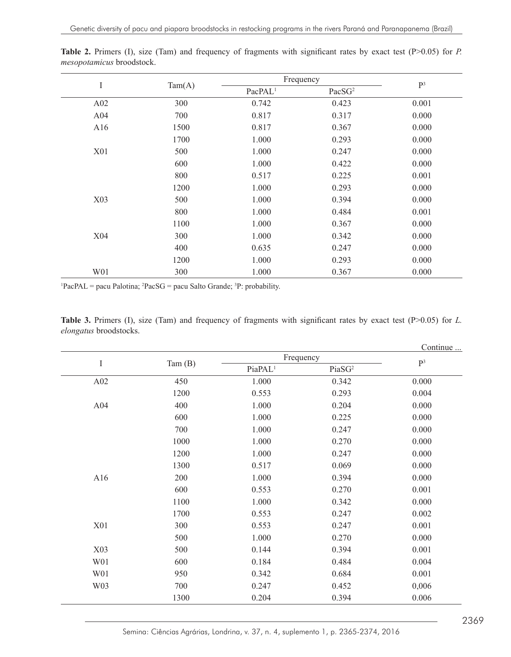|                 |        | Frequency           | $\mathbf{P}^3$     |       |
|-----------------|--------|---------------------|--------------------|-------|
| I               | Tam(A) | PacPAL <sup>1</sup> | PacSG <sup>2</sup> |       |
| A02             | 300    | 0.742               | 0.423              | 0.001 |
| A <sub>04</sub> | 700    | 0.817               | 0.317              | 0.000 |
| A16             | 1500   | 0.817               | 0.367              | 0.000 |
|                 | 1700   | 1.000               | 0.293              | 0.000 |
| X01             | 500    | 1.000               | 0.247              | 0.000 |
|                 | 600    | 1.000               | 0.422              | 0.000 |
|                 | 800    | 0.517               | 0.225              | 0.001 |
|                 | 1200   | 1.000               | 0.293              | 0.000 |
| X03             | 500    | 1.000               | 0.394              | 0.000 |
|                 | 800    | 1.000               | 0.484              | 0.001 |
|                 | 1100   | 1.000               | 0.367              | 0.000 |
| X <sub>04</sub> | 300    | 1.000               | 0.342              | 0.000 |
|                 | 400    | 0.635               | 0.247              | 0.000 |
|                 | 1200   | 1.000               | 0.293              | 0.000 |
| W01             | 300    | 1.000               | 0.367              | 0.000 |

Table 2. Primers (I), size (Tam) and frequency of fragments with significant rates by exact test (P>0.05) for *P*. *mesopotamicus* broodstock.

<sup>1</sup>PacPAL = pacu Palotina;  ${}^{2}$ PacSG = pacu Salto Grande;  ${}^{3}$ P: probability.

|                               |  |  |  | <b>Table 3.</b> Primers (I), size (Tam) and frequency of fragments with significant rates by exact test ( $P>0.05$ ) for L. |  |  |  |  |
|-------------------------------|--|--|--|-----------------------------------------------------------------------------------------------------------------------------|--|--|--|--|
| <i>elongatus</i> broodstocks. |  |  |  |                                                                                                                             |  |  |  |  |

|      |                     |                    | Continue  |
|------|---------------------|--------------------|-----------|
|      |                     | $\mathbf{P}^3$     |           |
|      | PiaPAL <sup>1</sup> | PiaSG <sup>2</sup> |           |
| 450  | 1.000               | 0.342              | 0.000     |
| 1200 | 0.553               | 0.293              | 0.004     |
| 400  | 1.000               | 0.204              | 0.000     |
| 600  | 1.000               | 0.225              | 0.000     |
| 700  | 1.000               | 0.247              | 0.000     |
| 1000 | 1.000               | 0.270              | 0.000     |
| 1200 | 1.000               | 0.247              | 0.000     |
| 1300 | 0.517               | 0.069              | 0.000     |
| 200  | 1.000               | 0.394              | 0.000     |
| 600  | 0.553               | 0.270              | 0.001     |
| 1100 | 1.000               | 0.342              | 0.000     |
| 1700 | 0.553               | 0.247              | 0.002     |
| 300  | 0.553               | 0.247              | 0.001     |
| 500  | 1.000               | 0.270              | 0.000     |
| 500  | 0.144               | 0.394              | 0.001     |
| 600  | 0.184               | 0.484              | 0.004     |
| 950  | 0.342               | 0.684              | 0.001     |
| 700  | 0.247               | 0.452              | 0,006     |
| 1300 | 0.204               | 0.394              | 0.006     |
|      | Tam $(B)$           |                    | Frequency |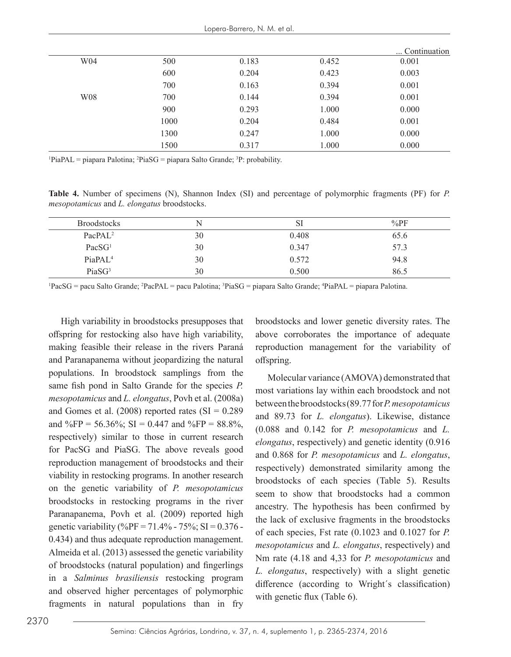|     |      |       |       | Continuation |
|-----|------|-------|-------|--------------|
| W04 | 500  | 0.183 | 0.452 | 0.001        |
|     | 600  | 0.204 | 0.423 | 0.003        |
|     | 700  | 0.163 | 0.394 | 0.001        |
| W08 | 700  | 0.144 | 0.394 | 0.001        |
|     | 900  | 0.293 | 1.000 | 0.000        |
|     | 1000 | 0.204 | 0.484 | 0.001        |
|     | 1300 | 0.247 | 1.000 | 0.000        |
|     | 1500 | 0.317 | 1.000 | 0.000        |

<sup>1</sup>PiaPAL = piapara Palotina; <sup>2</sup>PiaSG = piapara Salto Grande; <sup>3</sup>P: probability.

**Table 4.** Number of specimens (N), Shannon Index (SI) and percentage of polymorphic fragments (PF) for *P. mesopotamicus* and *L. elongatus* broodstocks.

| <b>Broodstocks</b>  | N  | <b>SI</b> | $\%$ PF |
|---------------------|----|-----------|---------|
| PacPAL <sup>2</sup> | 30 | 0.408     | 65.6    |
| PacSG <sup>1</sup>  | 30 | 0.347     | 57.3    |
| PiaPAL <sup>4</sup> | 30 | 0.572     | 94.8    |
| PiaSG <sup>3</sup>  | 30 | 0.500     | 86.5    |

<sup>1</sup>PacSG = pacu Salto Grande; <sup>2</sup>PacPAL = pacu Palotina; <sup>3</sup>PiaSG = piapara Salto Grande; <sup>4</sup>PiaPAL = piapara Palotina.

High variability in broodstocks presupposes that offspring for restocking also have high variability, making feasible their release in the rivers Paraná and Paranapanema without jeopardizing the natural populations. In broodstock samplings from the same fish pond in Salto Grande for the species *P. mesopotamicus* and *L. elongatus*, Povh et al. (2008a) and Gomes et al.  $(2008)$  reported rates  $(SI = 0.289)$ and %FP = 56.36%; SI = 0.447 and %FP = 88.8%, respectively) similar to those in current research for PacSG and PiaSG. The above reveals good reproduction management of broodstocks and their viability in restocking programs. In another research on the genetic variability of *P. mesopotamicus*  broodstocks in restocking programs in the river Paranapanema, Povh et al. (2009) reported high genetic variability (%PF = 71.4% - 75%; SI =  $0.376$  -0.434) and thus adequate reproduction management. Almeida et al. (2013) assessed the genetic variability of broodstocks (natural population) and fingerlings in a *Salminus brasiliensis* restocking program and observed higher percentages of polymorphic fragments in natural populations than in fry

broodstocks and lower genetic diversity rates. The above corroborates the importance of adequate reproduction management for the variability of offspring.

Molecular variance (AMOVA) demonstrated that most variations lay within each broodstock and not between the broodstocks (89.77 for *P. mesopotamicus* and 89.73 for *L. elongatus*). Likewise, distance (0.088 and 0.142 for *P. mesopotamicus* and *L. elongatus*, respectively) and genetic identity (0.916 and 0.868 for *P. mesopotamicus* and *L. elongatus*, respectively) demonstrated similarity among the broodstocks of each species (Table 5). Results seem to show that broodstocks had a common ancestry. The hypothesis has been confirmed by the lack of exclusive fragments in the broodstocks of each species, Fst rate (0.1023 and 0.1027 for *P. mesopotamicus* and *L. elongatus*, respectively) and Nm rate (4.18 and 4,33 for *P. mesopotamicus* and *L. elongatus*, respectively) with a slight genetic difference (according to Wright´s classification) with genetic flux (Table 6).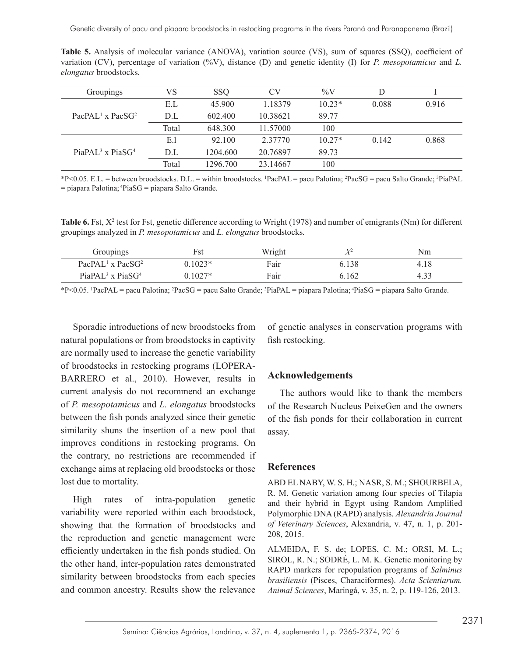|                               | Table 5. Analysis of molecular variance (ANOVA), variation source (VS), sum of squares (SSQ), coefficient of           |  |  |  |  |  |  |
|-------------------------------|------------------------------------------------------------------------------------------------------------------------|--|--|--|--|--|--|
|                               | variation (CV), percentage of variation $(^{96}V)$ , distance (D) and genetic identity (I) for P. mesopotamicus and L. |  |  |  |  |  |  |
| <i>elongatus</i> broodstocks. |                                                                                                                        |  |  |  |  |  |  |

| Groupings                       | VS    | <b>SSO</b> | CV       | $\%V$    |       |       |
|---------------------------------|-------|------------|----------|----------|-------|-------|
|                                 | E.L   | 45.900     | 1.18379  | $10.23*$ | 0.088 | 0.916 |
| $PacPAL1$ x $PacSG2$            | D.L   | 602.400    | 10.38621 | 89.77    |       |       |
|                                 | Total | 648.300    | 11.57000 | 100      |       |       |
|                                 | E.I   | 92.100     | 2.37770  | $10.27*$ | 0.142 | 0.868 |
| PiaPAL <sup>3</sup> x PiaS $G4$ | D.L   | 1204.600   | 20.76897 | 89.73    |       |       |
|                                 | Total | 1296.700   | 23.14667 | 100      |       |       |

\*P<0.05. E.L. = between broodstocks. D.L. = within broodstocks. <sup>1</sup> PacPAL = pacu Palotina; <sup>2</sup> PacSG = pacu Salto Grande; <sup>3</sup> PiaPAL  $=$  piapara Palotina;  ${}^{4}PiaSG =$  piapara Salto Grande.

**Table 6.** Fst,  $X^2$  test for Fst, genetic difference according to Wright (1978) and number of emigrants (Nm) for different groupings analyzed in *P. mesopotamicus* and *L. elongatus* broodstocks*.*

| Groupings                                | ∹st       | Wright |       | Nm   |
|------------------------------------------|-----------|--------|-------|------|
| PacPAL <sup>1</sup> x PacS $G2$          | $0.1023*$ | Fair   | 6.138 | 4.18 |
| PiaPAL <sup>3</sup> x PiaSG <sup>4</sup> | $0.1027*$ | Fair   | 6.162 | 4.33 |

\*P<0.05. <sup>1</sup>PacPAL = pacu Palotina; <sup>2</sup>PacSG = pacu Salto Grande; <sup>3</sup>PiaPAL = piapara Palotina; <sup>4</sup>PiaSG = piapara Salto Grande.

Sporadic introductions of new broodstocks from natural populations or from broodstocks in captivity are normally used to increase the genetic variability of broodstocks in restocking programs (LOPERA-BARRERO et al., 2010). However, results in current analysis do not recommend an exchange of *P. mesopotamicus* and *L. elongatus* broodstocks between the fish ponds analyzed since their genetic similarity shuns the insertion of a new pool that improves conditions in restocking programs. On the contrary, no restrictions are recommended if exchange aims at replacing old broodstocks or those lost due to mortality.

High rates of intra-population genetic variability were reported within each broodstock, showing that the formation of broodstocks and the reproduction and genetic management were efficiently undertaken in the fish ponds studied. On the other hand, inter-population rates demonstrated similarity between broodstocks from each species and common ancestry. Results show the relevance

of genetic analyses in conservation programs with fish restocking.

### **Acknowledgements**

The authors would like to thank the members of the Research Nucleus PeixeGen and the owners of the fish ponds for their collaboration in current assay.

### **References**

ABD EL NABY, W. S. H.; NASR, S. M.; SHOURBELA, R. M. Genetic variation among four species of Tilapia and their hybrid in Egypt using Random Amplified Polymorphic DNA (RAPD) analysis. *Alexandria Journal of Veterinary Sciences*, Alexandria, v. 47, n. 1, p. 201- 208, 2015.

ALMEIDA, F. S. de; LOPES, C. M.; ORSI, M. L.; SIROL, R. N.; SODRÉ, L. M. K. Genetic monitoring by RAPD markers for repopulation programs of *Salminus brasiliensis* (Pisces, Characiformes). *Acta Scientiarum. Animal Sciences*, Maringá, v. 35, n. 2, p. 119-126, 2013.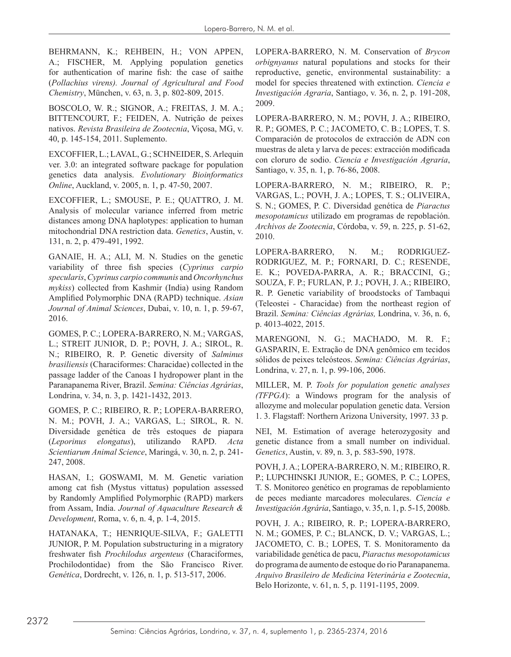BEHRMANN, K.; REHBEIN, H.; VON APPEN, A.; FISCHER, M. Applying population genetics for authentication of marine fish: the case of saithe (*Pollachius virens). Journal of Agricultural and Food Chemistry*, München, v. 63, n. 3, p. 802-809, 2015.

BOSCOLO, W. R.; SIGNOR, A.; FREITAS, J. M. A.; BITTENCOURT, F.; FEIDEN, A. Nutrição de peixes nativos. *Revista Brasileira de Zootecnia*, Viçosa, MG, v. 40, p. 145-154, 2011. Suplemento.

EXCOFFIER, L.; LAVAL, G.; SCHNEIDER, S. Arlequin ver. 3.0: an integrated software package for population genetics data analysis. *Evolutionary Bioinformatics Online*, Auckland, v. 2005, n. 1, p. 47-50, 2007.

EXCOFFIER, L.; SMOUSE, P. E.; QUATTRO, J. M. Analysis of molecular variance inferred from metric distances among DNA haplotypes: application to human mitochondrial DNA restriction data. *Genetics*, Austin, v. 131, n. 2, p. 479-491, 1992.

GANAIE, H. A.; ALI, M. N. Studies on the genetic variability of three fish species (*Cyprinus carpio specularis*, *Cyprinus carpio communis* and *Oncorhynchus mykiss*) collected from Kashmir (India) using Random Amplified Polymorphic DNA (RAPD) technique. *Asian Journal of Animal Sciences*, Dubai, v. 10, n. 1, p. 59-67, 2016.

GOMES, P. C.; LOPERA-BARRERO, N. M.; VARGAS, L.; STREIT JUNIOR, D. P.; POVH, J. A.; SIROL, R. N.; RIBEIRO, R. P. Genetic diversity of *Salminus brasiliensis* (Characiformes: Characidae) collected in the passage ladder of the Canoas I hydropower plant in the Paranapanema River, Brazil. *Semina: Ciências Agrárias*, Londrina, v. 34, n. 3, p. 1421-1432, 2013.

GOMES, P. C.; RIBEIRO, R. P.; LOPERA-BARRERO, N. M.; POVH, J. A.; VARGAS, L.; SIROL, R. N. Diversidade genética de três estoques de piapara (*Leporinus elongatus*), utilizando RAPD. *Acta Scientiarum Animal Science*, Maringá, v. 30, n. 2, p. 241- 247, 2008.

HASAN, I.; GOSWAMI, M. M. Genetic variation among cat fish (Mystus vittatus) population assessed by Randomly Amplified Polymorphic (RAPD) markers from Assam, India. *Journal of Aquaculture Research & Development*, Roma, v. 6, n. 4, p. 1-4, 2015.

HATANAKA, T.; HENRIQUE-SILVA, F.; GALETTI JUNIOR, P. M. Population substructuring in a migratory freshwater fish *Prochilodus argenteus* (Characiformes, Prochilodontidae) from the São Francisco River. *Genética*, Dordrecht, v. 126, n. 1, p. 513-517, 2006.

LOPERA-BARRERO, N. M. Conservation of *Brycon orbignyanus* natural populations and stocks for their reproductive, genetic, environmental sustainability: a model for species threatened with extinction. *Ciencia e Investigación Agraria*, Santiago, v. 36, n. 2, p. 191-208, 2009.

LOPERA-BARRERO, N. M.; POVH, J. A.; RIBEIRO, R. P.; GOMES, P. C.; JACOMETO, C. B.; LOPES, T. S. Comparación de protocolos de extracción de ADN con muestras de aleta y larva de peces: extracción modificada con cloruro de sodio. *Ciencia e Investigación Agraria*, Santiago, v. 35, n. 1, p. 76-86, 2008.

LOPERA-BARRERO, N. M.; RIBEIRO, R. P.; VARGAS, L.; POVH, J. A.; LOPES, T. S.; OLIVEIRA, S. N.; GOMES, P. C. Diversidad genética de *Piaractus mesopotamicus* utilizado em programas de repoblación. *Archivos de Zootecnia*, Córdoba, v. 59, n. 225, p. 51-62, 2010.

LOPERA-BARRERO, N. M.; RODRIGUEZ-RODRIGUEZ, M. P.; FORNARI, D. C.; RESENDE, E. K.; POVEDA-PARRA, A. R.; BRACCINI, G.; SOUZA, F. P.; FURLAN, P. J.; POVH, J. A.; RIBEIRO, R. P. Genetic variability of broodstocks of Tambaqui (Teleostei - Characidae) from the northeast region of Brazil. *Semina: Ciências Agrárias,* Londrina, v. 36, n. 6, p. 4013-4022, 2015.

MARENGONI, N. G.; MACHADO, M. R. F.; GASPARIN, E. Extração de DNA genômico em tecidos sólidos de peixes teleósteos. *Semina: Ciências Agrárias*, Londrina, v. 27, n. 1, p. 99-106, 2006.

MILLER, M. P. *Tools for population genetic analyses (TFPGA*): a Windows program for the analysis of allozyme and molecular population genetic data. Version 1. 3. Flagstaff: Northern Arizona University, 1997. 33 p.

NEI, M. Estimation of average heterozygosity and genetic distance from a small number on individual. *Genetics*, Austin, v. 89, n. 3, p. 583-590, 1978.

POVH, J. A.; LOPERA-BARRERO, N. M.; RIBEIRO, R. P.; LUPCHINSKI JUNIOR, E.; GOMES, P. C.; LOPES, T. S. Monitoreo genético en programas de repoblamiento de peces mediante marcadores moleculares. *Ciencia e Investigación Agrária*, Santiago, v. 35, n. 1, p. 5-15, 2008b.

POVH, J. A.; RIBEIRO, R. P.; LOPERA-BARRERO, N. M.; GOMES, P. C.; BLANCK, D. V.; VARGAS, L.; JACOMETO, C. B.; LOPES, T. S. Monitoramento da variabilidade genética de pacu, *Piaractus mesopotamicus* do programa de aumento de estoque do rio Paranapanema. *Arquivo Brasileiro de Medicina Veterinária e Zootecnia*, Belo Horizonte, v. 61, n. 5, p. 1191-1195, 2009.